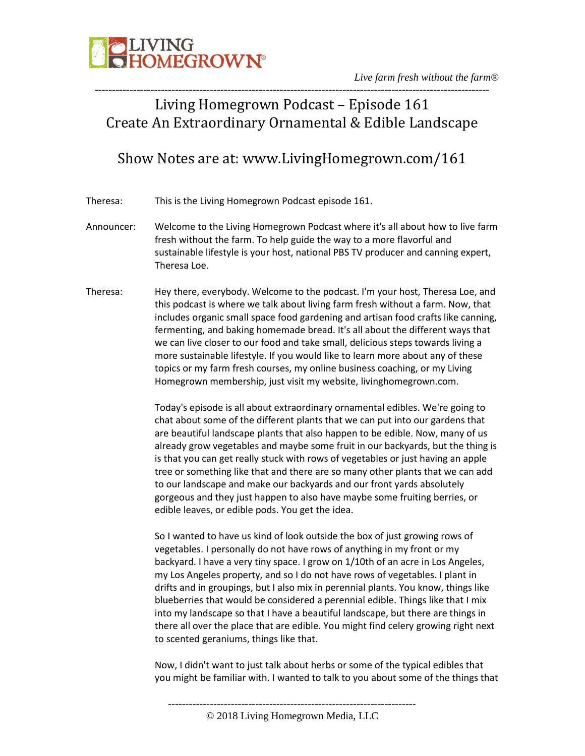

### ----------------------------------------------------------------------------------------------------------------- Living Homegrown Podcast – Episode 161 Create An Extraordinary Ornamental & Edible Landscape

### Show Notes are at: www.LivingHomegrown.com/161

Theresa: This is the Living Homegrown Podcast episode 161.

- Announcer: Welcome to the Living Homegrown Podcast where it's all about how to live farm fresh without the farm. To help guide the way to a more flavorful and sustainable lifestyle is your host, national PBS TV producer and canning expert, Theresa Loe.
- Theresa: Hey there, everybody. Welcome to the podcast. I'm your host, Theresa Loe, and this podcast is where we talk about living farm fresh without a farm. Now, that includes organic small space food gardening and artisan food crafts like canning, fermenting, and baking homemade bread. It's all about the different ways that we can live closer to our food and take small, delicious steps towards living a more sustainable lifestyle. If you would like to learn more about any of these topics or my farm fresh courses, my online business coaching, or my Living Homegrown membership, just visit my website, livinghomegrown.com.

Today's episode is all about extraordinary ornamental edibles. We're going to chat about some of the different plants that we can put into our gardens that are beautiful landscape plants that also happen to be edible. Now, many of us already grow vegetables and maybe some fruit in our backyards, but the thing is is that you can get really stuck with rows of vegetables or just having an apple tree or something like that and there are so many other plants that we can add to our landscape and make our backyards and our front yards absolutely gorgeous and they just happen to also have maybe some fruiting berries, or edible leaves, or edible pods. You get the idea.

So I wanted to have us kind of look outside the box of just growing rows of vegetables. I personally do not have rows of anything in my front or my backyard. I have a very tiny space. I grow on 1/10th of an acre in Los Angeles, my Los Angeles property, and so I do not have rows of vegetables. I plant in drifts and in groupings, but I also mix in perennial plants. You know, things like blueberries that would be considered a perennial edible. Things like that I mix into my landscape so that I have a beautiful landscape, but there are things in there all over the place that are edible. You might find celery growing right next to scented geraniums, things like that.

Now, I didn't want to just talk about herbs or some of the typical edibles that you might be familiar with. I wanted to talk to you about some of the things that

<sup>-----------------------------------------------------------------------</sup>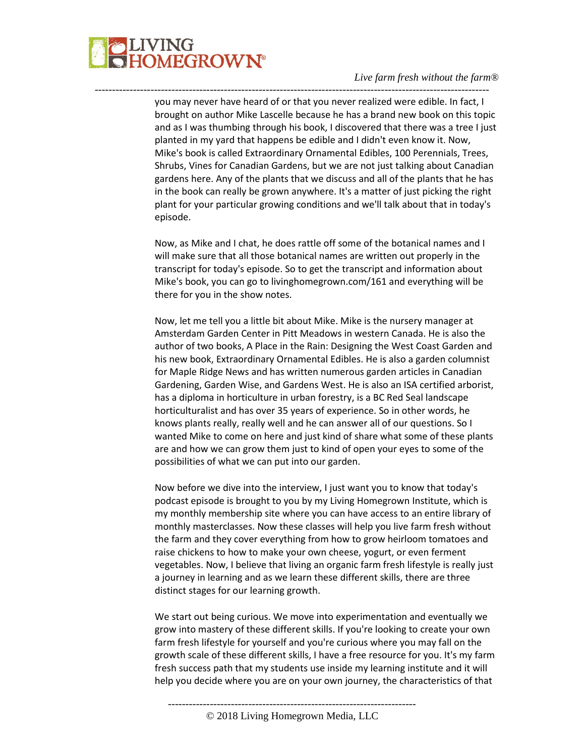

you may never have heard of or that you never realized were edible. In fact, I brought on author Mike Lascelle because he has a brand new book on this topic and as I was thumbing through his book, I discovered that there was a tree I just planted in my yard that happens be edible and I didn't even know it. Now, Mike's book is called Extraordinary Ornamental Edibles, 100 Perennials, Trees, Shrubs, Vines for Canadian Gardens, but we are not just talking about Canadian gardens here. Any of the plants that we discuss and all of the plants that he has in the book can really be grown anywhere. It's a matter of just picking the right plant for your particular growing conditions and we'll talk about that in today's episode.

-----------------------------------------------------------------------------------------------------------------

Now, as Mike and I chat, he does rattle off some of the botanical names and I will make sure that all those botanical names are written out properly in the transcript for today's episode. So to get the transcript and information about Mike's book, you can go to livinghomegrown.com/161 and everything will be there for you in the show notes.

Now, let me tell you a little bit about Mike. Mike is the nursery manager at Amsterdam Garden Center in Pitt Meadows in western Canada. He is also the author of two books, A Place in the Rain: Designing the West Coast Garden and his new book, Extraordinary Ornamental Edibles. He is also a garden columnist for Maple Ridge News and has written numerous garden articles in Canadian Gardening, Garden Wise, and Gardens West. He is also an ISA certified arborist, has a diploma in horticulture in urban forestry, is a BC Red Seal landscape horticulturalist and has over 35 years of experience. So in other words, he knows plants really, really well and he can answer all of our questions. So I wanted Mike to come on here and just kind of share what some of these plants are and how we can grow them just to kind of open your eyes to some of the possibilities of what we can put into our garden.

Now before we dive into the interview, I just want you to know that today's podcast episode is brought to you by my Living Homegrown Institute, which is my monthly membership site where you can have access to an entire library of monthly masterclasses. Now these classes will help you live farm fresh without the farm and they cover everything from how to grow heirloom tomatoes and raise chickens to how to make your own cheese, yogurt, or even ferment vegetables. Now, I believe that living an organic farm fresh lifestyle is really just a journey in learning and as we learn these different skills, there are three distinct stages for our learning growth.

We start out being curious. We move into experimentation and eventually we grow into mastery of these different skills. If you're looking to create your own farm fresh lifestyle for yourself and you're curious where you may fall on the growth scale of these different skills, I have a free resource for you. It's my farm fresh success path that my students use inside my learning institute and it will help you decide where you are on your own journey, the characteristics of that

-----------------------------------------------------------------------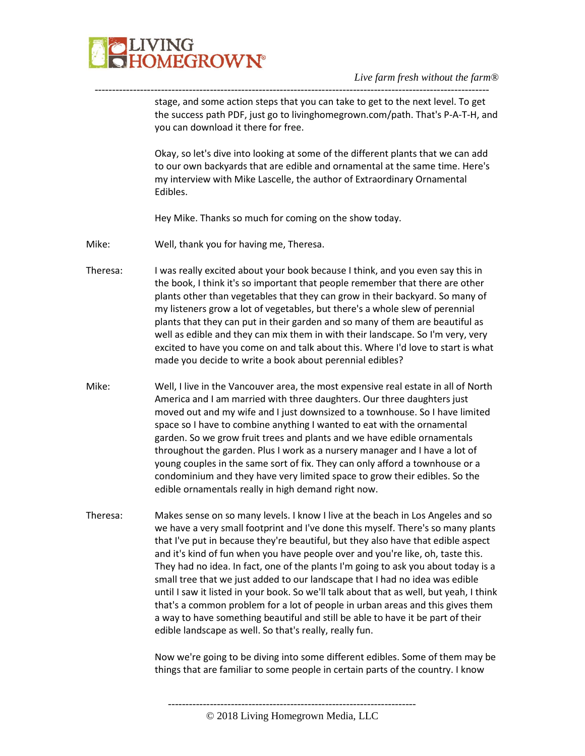

---------------------------------------------------------------------------------------------------------------- stage, and some action steps that you can take to get to the next level. To get the success path PDF, just go to livinghomegrown.com/path. That's P-A-T-H, and you can download it there for free.

> Okay, so let's dive into looking at some of the different plants that we can add to our own backyards that are edible and ornamental at the same time. Here's my interview with Mike Lascelle, the author of Extraordinary Ornamental Edibles.

Hey Mike. Thanks so much for coming on the show today.

- Mike: Well, thank you for having me, Theresa.
- Theresa: I was really excited about your book because I think, and you even say this in the book, I think it's so important that people remember that there are other plants other than vegetables that they can grow in their backyard. So many of my listeners grow a lot of vegetables, but there's a whole slew of perennial plants that they can put in their garden and so many of them are beautiful as well as edible and they can mix them in with their landscape. So I'm very, very excited to have you come on and talk about this. Where I'd love to start is what made you decide to write a book about perennial edibles?
- Mike: Well, I live in the Vancouver area, the most expensive real estate in all of North America and I am married with three daughters. Our three daughters just moved out and my wife and I just downsized to a townhouse. So I have limited space so I have to combine anything I wanted to eat with the ornamental garden. So we grow fruit trees and plants and we have edible ornamentals throughout the garden. Plus I work as a nursery manager and I have a lot of young couples in the same sort of fix. They can only afford a townhouse or a condominium and they have very limited space to grow their edibles. So the edible ornamentals really in high demand right now.
- Theresa: Makes sense on so many levels. I know I live at the beach in Los Angeles and so we have a very small footprint and I've done this myself. There's so many plants that I've put in because they're beautiful, but they also have that edible aspect and it's kind of fun when you have people over and you're like, oh, taste this. They had no idea. In fact, one of the plants I'm going to ask you about today is a small tree that we just added to our landscape that I had no idea was edible until I saw it listed in your book. So we'll talk about that as well, but yeah, I think that's a common problem for a lot of people in urban areas and this gives them a way to have something beautiful and still be able to have it be part of their edible landscape as well. So that's really, really fun.

Now we're going to be diving into some different edibles. Some of them may be things that are familiar to some people in certain parts of the country. I know

-----------------------------------------------------------------------

© 2018 Living Homegrown Media, LLC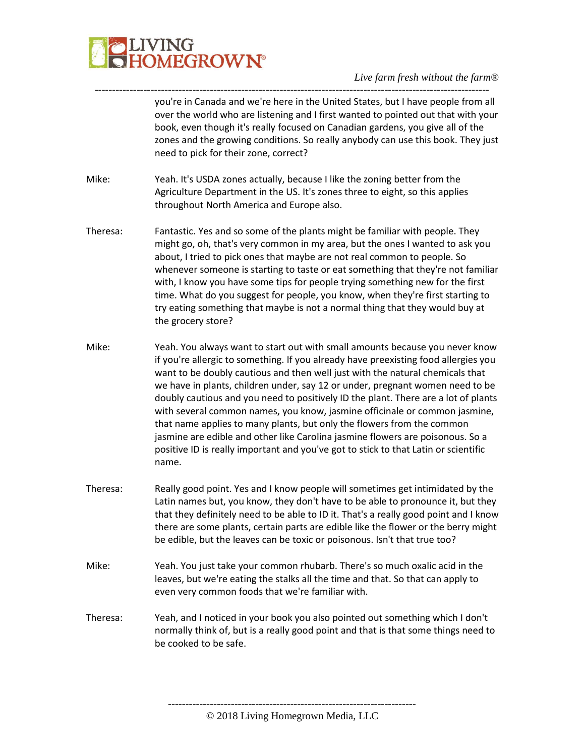

---------------------------------------------------------------------------------------------------------------- you're in Canada and we're here in the United States, but I have people from all over the world who are listening and I first wanted to pointed out that with your book, even though it's really focused on Canadian gardens, you give all of the zones and the growing conditions. So really anybody can use this book. They just need to pick for their zone, correct?

- Mike: Yeah. It's USDA zones actually, because I like the zoning better from the Agriculture Department in the US. It's zones three to eight, so this applies throughout North America and Europe also.
- Theresa: Fantastic. Yes and so some of the plants might be familiar with people. They might go, oh, that's very common in my area, but the ones I wanted to ask you about, I tried to pick ones that maybe are not real common to people. So whenever someone is starting to taste or eat something that they're not familiar with, I know you have some tips for people trying something new for the first time. What do you suggest for people, you know, when they're first starting to try eating something that maybe is not a normal thing that they would buy at the grocery store?
- Mike: Yeah. You always want to start out with small amounts because you never know if you're allergic to something. If you already have preexisting food allergies you want to be doubly cautious and then well just with the natural chemicals that we have in plants, children under, say 12 or under, pregnant women need to be doubly cautious and you need to positively ID the plant. There are a lot of plants with several common names, you know, jasmine officinale or common jasmine, that name applies to many plants, but only the flowers from the common jasmine are edible and other like Carolina jasmine flowers are poisonous. So a positive ID is really important and you've got to stick to that Latin or scientific name.
- Theresa: Really good point. Yes and I know people will sometimes get intimidated by the Latin names but, you know, they don't have to be able to pronounce it, but they that they definitely need to be able to ID it. That's a really good point and I know there are some plants, certain parts are edible like the flower or the berry might be edible, but the leaves can be toxic or poisonous. Isn't that true too?
- Mike: Yeah. You just take your common rhubarb. There's so much oxalic acid in the leaves, but we're eating the stalks all the time and that. So that can apply to even very common foods that we're familiar with.
- Theresa: Yeah, and I noticed in your book you also pointed out something which I don't normally think of, but is a really good point and that is that some things need to be cooked to be safe.

© 2018 Living Homegrown Media, LLC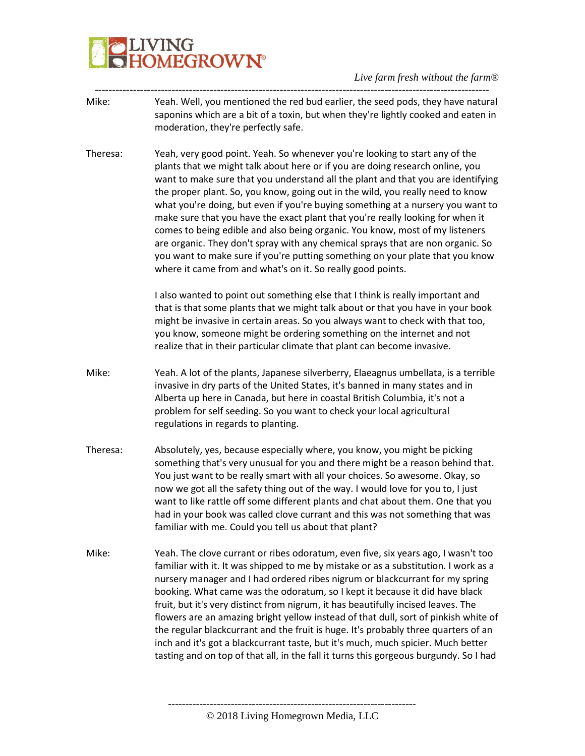# IVING<br>IOMEGROW**N°**

*Live farm fresh without the farm®*

- ----------------------------------------------------------------------------------------------------------------- Mike: Yeah. Well, you mentioned the red bud earlier, the seed pods, they have natural saponins which are a bit of a toxin, but when they're lightly cooked and eaten in moderation, they're perfectly safe.
- Theresa: Yeah, very good point. Yeah. So whenever you're looking to start any of the plants that we might talk about here or if you are doing research online, you want to make sure that you understand all the plant and that you are identifying the proper plant. So, you know, going out in the wild, you really need to know what you're doing, but even if you're buying something at a nursery you want to make sure that you have the exact plant that you're really looking for when it comes to being edible and also being organic. You know, most of my listeners are organic. They don't spray with any chemical sprays that are non organic. So you want to make sure if you're putting something on your plate that you know where it came from and what's on it. So really good points.

I also wanted to point out something else that I think is really important and that is that some plants that we might talk about or that you have in your book might be invasive in certain areas. So you always want to check with that too, you know, someone might be ordering something on the internet and not realize that in their particular climate that plant can become invasive.

- Mike: Yeah. A lot of the plants, Japanese silverberry, Elaeagnus umbellata, is a terrible invasive in dry parts of the United States, it's banned in many states and in Alberta up here in Canada, but here in coastal British Columbia, it's not a problem for self seeding. So you want to check your local agricultural regulations in regards to planting.
- Theresa: Absolutely, yes, because especially where, you know, you might be picking something that's very unusual for you and there might be a reason behind that. You just want to be really smart with all your choices. So awesome. Okay, so now we got all the safety thing out of the way. I would love for you to, I just want to like rattle off some different plants and chat about them. One that you had in your book was called clove currant and this was not something that was familiar with me. Could you tell us about that plant?
- Mike: Yeah. The clove currant or ribes odoratum, even five, six years ago, I wasn't too familiar with it. It was shipped to me by mistake or as a substitution. I work as a nursery manager and I had ordered ribes nigrum or blackcurrant for my spring booking. What came was the odoratum, so I kept it because it did have black fruit, but it's very distinct from nigrum, it has beautifully incised leaves. The flowers are an amazing bright yellow instead of that dull, sort of pinkish white of the regular blackcurrant and the fruit is huge. It's probably three quarters of an inch and it's got a blackcurrant taste, but it's much, much spicier. Much better tasting and on top of that all, in the fall it turns this gorgeous burgundy. So I had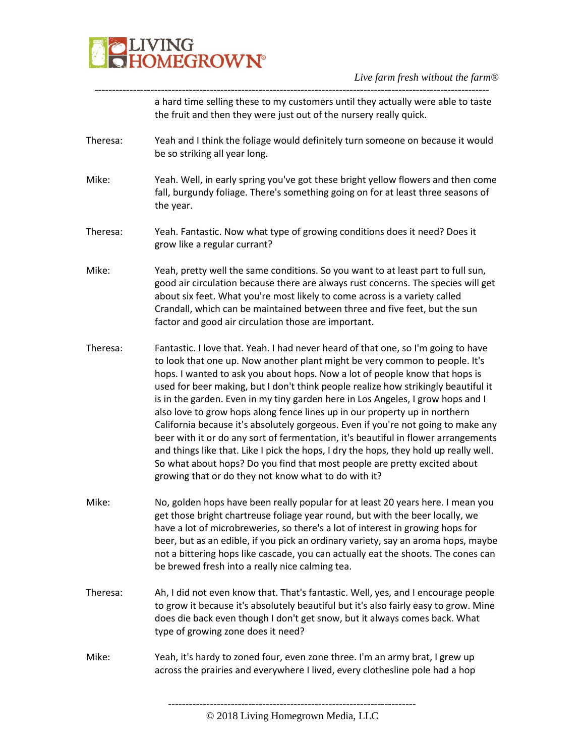

---------------------------------------------------------------------------------------------------------------- a hard time selling these to my customers until they actually were able to taste the fruit and then they were just out of the nursery really quick.

- Theresa: Yeah and I think the foliage would definitely turn someone on because it would be so striking all year long.
- Mike: Yeah. Well, in early spring you've got these bright yellow flowers and then come fall, burgundy foliage. There's something going on for at least three seasons of the year.
- Theresa: Yeah. Fantastic. Now what type of growing conditions does it need? Does it grow like a regular currant?
- Mike: Yeah, pretty well the same conditions. So you want to at least part to full sun, good air circulation because there are always rust concerns. The species will get about six feet. What you're most likely to come across is a variety called Crandall, which can be maintained between three and five feet, but the sun factor and good air circulation those are important.
- Theresa: Fantastic. I love that. Yeah. I had never heard of that one, so I'm going to have to look that one up. Now another plant might be very common to people. It's hops. I wanted to ask you about hops. Now a lot of people know that hops is used for beer making, but I don't think people realize how strikingly beautiful it is in the garden. Even in my tiny garden here in Los Angeles, I grow hops and I also love to grow hops along fence lines up in our property up in northern California because it's absolutely gorgeous. Even if you're not going to make any beer with it or do any sort of fermentation, it's beautiful in flower arrangements and things like that. Like I pick the hops, I dry the hops, they hold up really well. So what about hops? Do you find that most people are pretty excited about growing that or do they not know what to do with it?
- Mike: No, golden hops have been really popular for at least 20 years here. I mean you get those bright chartreuse foliage year round, but with the beer locally, we have a lot of microbreweries, so there's a lot of interest in growing hops for beer, but as an edible, if you pick an ordinary variety, say an aroma hops, maybe not a bittering hops like cascade, you can actually eat the shoots. The cones can be brewed fresh into a really nice calming tea.
- Theresa: Ah, I did not even know that. That's fantastic. Well, yes, and I encourage people to grow it because it's absolutely beautiful but it's also fairly easy to grow. Mine does die back even though I don't get snow, but it always comes back. What type of growing zone does it need?
- Mike: Yeah, it's hardy to zoned four, even zone three. I'm an army brat, I grew up across the prairies and everywhere I lived, every clothesline pole had a hop

<sup>©</sup> 2018 Living Homegrown Media, LLC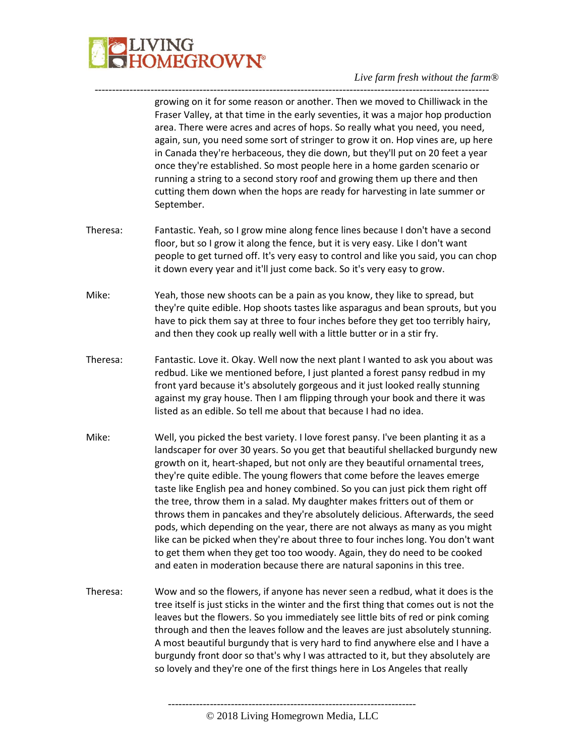

growing on it for some reason or another. Then we moved to Chilliwack in the Fraser Valley, at that time in the early seventies, it was a major hop production area. There were acres and acres of hops. So really what you need, you need, again, sun, you need some sort of stringer to grow it on. Hop vines are, up here in Canada they're herbaceous, they die down, but they'll put on 20 feet a year once they're established. So most people here in a home garden scenario or running a string to a second story roof and growing them up there and then cutting them down when the hops are ready for harvesting in late summer or September.

Theresa: Fantastic. Yeah, so I grow mine along fence lines because I don't have a second floor, but so I grow it along the fence, but it is very easy. Like I don't want people to get turned off. It's very easy to control and like you said, you can chop it down every year and it'll just come back. So it's very easy to grow.

-----------------------------------------------------------------------------------------------------------------

- Mike: Yeah, those new shoots can be a pain as you know, they like to spread, but they're quite edible. Hop shoots tastes like asparagus and bean sprouts, but you have to pick them say at three to four inches before they get too terribly hairy, and then they cook up really well with a little butter or in a stir fry.
- Theresa: Fantastic. Love it. Okay. Well now the next plant I wanted to ask you about was redbud. Like we mentioned before, I just planted a forest pansy redbud in my front yard because it's absolutely gorgeous and it just looked really stunning against my gray house. Then I am flipping through your book and there it was listed as an edible. So tell me about that because I had no idea.
- Mike: Well, you picked the best variety. I love forest pansy. I've been planting it as a landscaper for over 30 years. So you get that beautiful shellacked burgundy new growth on it, heart-shaped, but not only are they beautiful ornamental trees, they're quite edible. The young flowers that come before the leaves emerge taste like English pea and honey combined. So you can just pick them right off the tree, throw them in a salad. My daughter makes fritters out of them or throws them in pancakes and they're absolutely delicious. Afterwards, the seed pods, which depending on the year, there are not always as many as you might like can be picked when they're about three to four inches long. You don't want to get them when they get too too woody. Again, they do need to be cooked and eaten in moderation because there are natural saponins in this tree.
- Theresa: Wow and so the flowers, if anyone has never seen a redbud, what it does is the tree itself is just sticks in the winter and the first thing that comes out is not the leaves but the flowers. So you immediately see little bits of red or pink coming through and then the leaves follow and the leaves are just absolutely stunning. A most beautiful burgundy that is very hard to find anywhere else and I have a burgundy front door so that's why I was attracted to it, but they absolutely are so lovely and they're one of the first things here in Los Angeles that really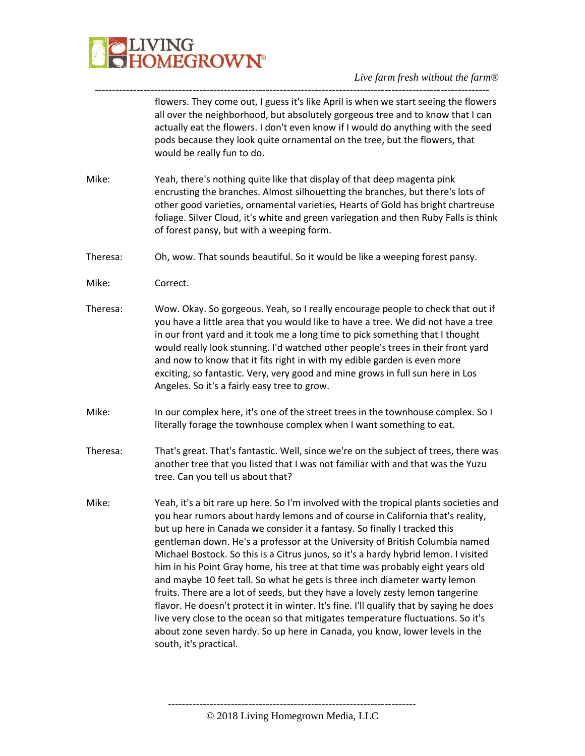

---------------------------------------------------------------------------------------------------------------- flowers. They come out, I guess it's like April is when we start seeing the flowers all over the neighborhood, but absolutely gorgeous tree and to know that I can actually eat the flowers. I don't even know if I would do anything with the seed pods because they look quite ornamental on the tree, but the flowers, that would be really fun to do.

- Mike: Yeah, there's nothing quite like that display of that deep magenta pink encrusting the branches. Almost silhouetting the branches, but there's lots of other good varieties, ornamental varieties, Hearts of Gold has bright chartreuse foliage. Silver Cloud, it's white and green variegation and then Ruby Falls is think of forest pansy, but with a weeping form.
- Theresa: Oh, wow. That sounds beautiful. So it would be like a weeping forest pansy.
- Mike: Correct.
- Theresa: Wow. Okay. So gorgeous. Yeah, so I really encourage people to check that out if you have a little area that you would like to have a tree. We did not have a tree in our front yard and it took me a long time to pick something that I thought would really look stunning. I'd watched other people's trees in their front yard and now to know that it fits right in with my edible garden is even more exciting, so fantastic. Very, very good and mine grows in full sun here in Los Angeles. So it's a fairly easy tree to grow.
- Mike: In our complex here, it's one of the street trees in the townhouse complex. So I literally forage the townhouse complex when I want something to eat.
- Theresa: That's great. That's fantastic. Well, since we're on the subject of trees, there was another tree that you listed that I was not familiar with and that was the Yuzu tree. Can you tell us about that?
- Mike: Yeah, it's a bit rare up here. So I'm involved with the tropical plants societies and you hear rumors about hardy lemons and of course in California that's reality, but up here in Canada we consider it a fantasy. So finally I tracked this gentleman down. He's a professor at the University of British Columbia named Michael Bostock. So this is a Citrus junos, so it's a hardy hybrid lemon. I visited him in his Point Gray home, his tree at that time was probably eight years old and maybe 10 feet tall. So what he gets is three inch diameter warty lemon fruits. There are a lot of seeds, but they have a lovely zesty lemon tangerine flavor. He doesn't protect it in winter. It's fine. I'll qualify that by saying he does live very close to the ocean so that mitigates temperature fluctuations. So it's about zone seven hardy. So up here in Canada, you know, lower levels in the south, it's practical.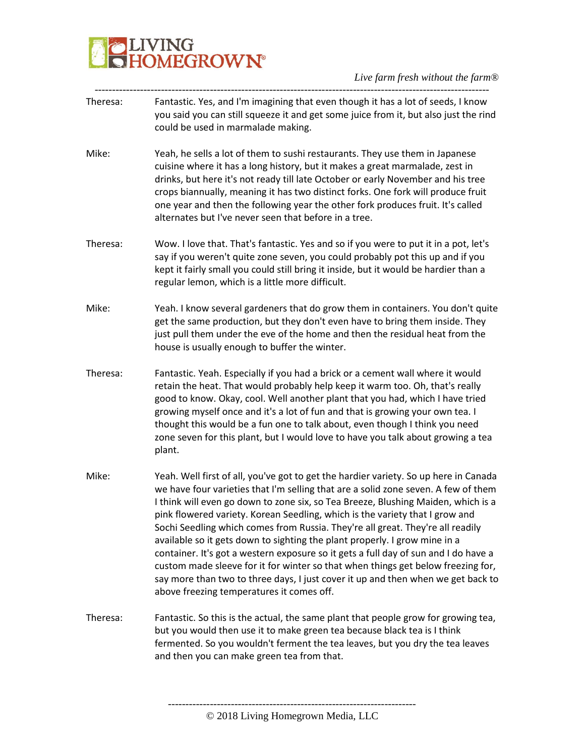

- ----------------------------------------------------------------------------------------------------------------- Theresa: Fantastic. Yes, and I'm imagining that even though it has a lot of seeds, I know you said you can still squeeze it and get some juice from it, but also just the rind could be used in marmalade making.
- Mike: Yeah, he sells a lot of them to sushi restaurants. They use them in Japanese cuisine where it has a long history, but it makes a great marmalade, zest in drinks, but here it's not ready till late October or early November and his tree crops biannually, meaning it has two distinct forks. One fork will produce fruit one year and then the following year the other fork produces fruit. It's called alternates but I've never seen that before in a tree.
- Theresa: Wow. I love that. That's fantastic. Yes and so if you were to put it in a pot, let's say if you weren't quite zone seven, you could probably pot this up and if you kept it fairly small you could still bring it inside, but it would be hardier than a regular lemon, which is a little more difficult.
- Mike: Yeah. I know several gardeners that do grow them in containers. You don't quite get the same production, but they don't even have to bring them inside. They just pull them under the eve of the home and then the residual heat from the house is usually enough to buffer the winter.
- Theresa: Fantastic. Yeah. Especially if you had a brick or a cement wall where it would retain the heat. That would probably help keep it warm too. Oh, that's really good to know. Okay, cool. Well another plant that you had, which I have tried growing myself once and it's a lot of fun and that is growing your own tea. I thought this would be a fun one to talk about, even though I think you need zone seven for this plant, but I would love to have you talk about growing a tea plant.
- Mike: Yeah. Well first of all, you've got to get the hardier variety. So up here in Canada we have four varieties that I'm selling that are a solid zone seven. A few of them I think will even go down to zone six, so Tea Breeze, Blushing Maiden, which is a pink flowered variety. Korean Seedling, which is the variety that I grow and Sochi Seedling which comes from Russia. They're all great. They're all readily available so it gets down to sighting the plant properly. I grow mine in a container. It's got a western exposure so it gets a full day of sun and I do have a custom made sleeve for it for winter so that when things get below freezing for, say more than two to three days, I just cover it up and then when we get back to above freezing temperatures it comes off.
- Theresa: Fantastic. So this is the actual, the same plant that people grow for growing tea, but you would then use it to make green tea because black tea is I think fermented. So you wouldn't ferment the tea leaves, but you dry the tea leaves and then you can make green tea from that.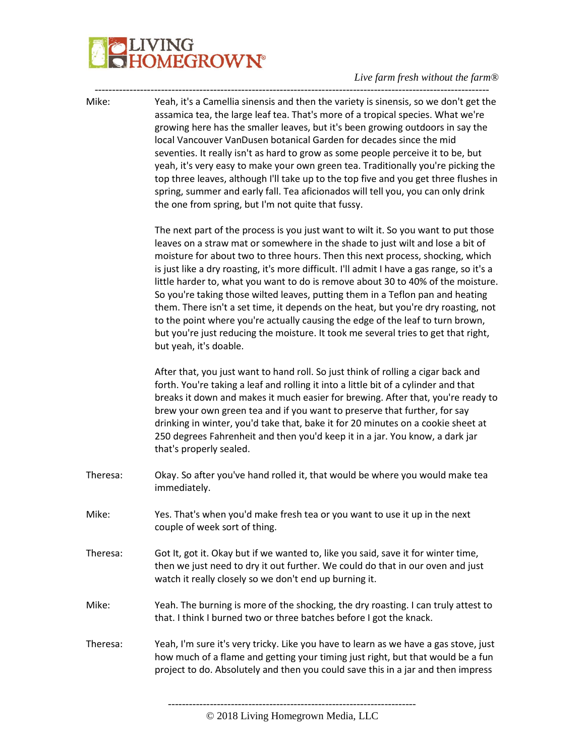# IVING<br>IOMEGROW**N°**

#### *Live farm fresh without the farm®*

----------------------------------------------------------------------------------------------------------------- Mike: Yeah, it's a Camellia sinensis and then the variety is sinensis, so we don't get the assamica tea, the large leaf tea. That's more of a tropical species. What we're growing here has the smaller leaves, but it's been growing outdoors in say the local Vancouver VanDusen botanical Garden for decades since the mid seventies. It really isn't as hard to grow as some people perceive it to be, but yeah, it's very easy to make your own green tea. Traditionally you're picking the top three leaves, although I'll take up to the top five and you get three flushes in spring, summer and early fall. Tea aficionados will tell you, you can only drink the one from spring, but I'm not quite that fussy.

> The next part of the process is you just want to wilt it. So you want to put those leaves on a straw mat or somewhere in the shade to just wilt and lose a bit of moisture for about two to three hours. Then this next process, shocking, which is just like a dry roasting, it's more difficult. I'll admit I have a gas range, so it's a little harder to, what you want to do is remove about 30 to 40% of the moisture. So you're taking those wilted leaves, putting them in a Teflon pan and heating them. There isn't a set time, it depends on the heat, but you're dry roasting, not to the point where you're actually causing the edge of the leaf to turn brown, but you're just reducing the moisture. It took me several tries to get that right, but yeah, it's doable.

> After that, you just want to hand roll. So just think of rolling a cigar back and forth. You're taking a leaf and rolling it into a little bit of a cylinder and that breaks it down and makes it much easier for brewing. After that, you're ready to brew your own green tea and if you want to preserve that further, for say drinking in winter, you'd take that, bake it for 20 minutes on a cookie sheet at 250 degrees Fahrenheit and then you'd keep it in a jar. You know, a dark jar that's properly sealed.

- Theresa: Okay. So after you've hand rolled it, that would be where you would make tea immediately.
- Mike: Yes. That's when you'd make fresh tea or you want to use it up in the next couple of week sort of thing.
- Theresa: Got It, got it. Okay but if we wanted to, like you said, save it for winter time, then we just need to dry it out further. We could do that in our oven and just watch it really closely so we don't end up burning it.
- Mike: Yeah. The burning is more of the shocking, the dry roasting. I can truly attest to that. I think I burned two or three batches before I got the knack.

Theresa: Yeah, I'm sure it's very tricky. Like you have to learn as we have a gas stove, just how much of a flame and getting your timing just right, but that would be a fun project to do. Absolutely and then you could save this in a jar and then impress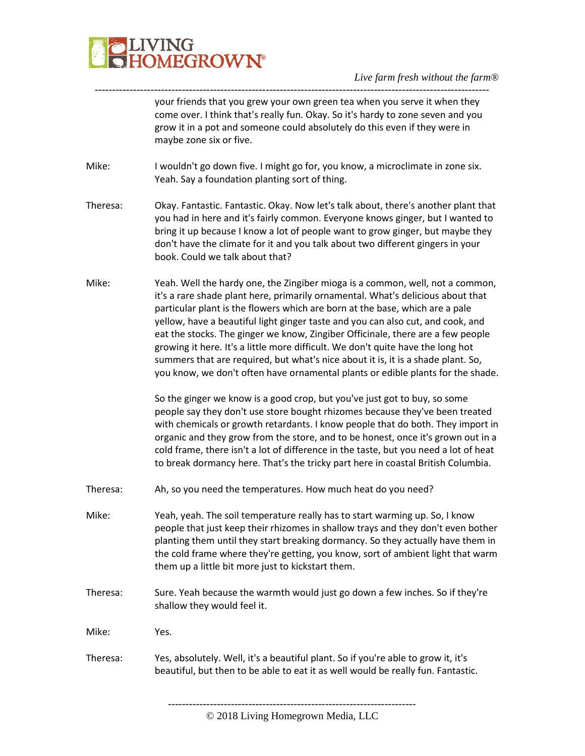

---------------------------------------------------------------------------------------------------------------- your friends that you grew your own green tea when you serve it when they come over. I think that's really fun. Okay. So it's hardy to zone seven and you grow it in a pot and someone could absolutely do this even if they were in maybe zone six or five.

- Mike: I wouldn't go down five. I might go for, you know, a microclimate in zone six. Yeah. Say a foundation planting sort of thing.
- Theresa: Okay. Fantastic. Fantastic. Okay. Now let's talk about, there's another plant that you had in here and it's fairly common. Everyone knows ginger, but I wanted to bring it up because I know a lot of people want to grow ginger, but maybe they don't have the climate for it and you talk about two different gingers in your book. Could we talk about that?
- Mike: Yeah. Well the hardy one, the Zingiber mioga is a common, well, not a common, it's a rare shade plant here, primarily ornamental. What's delicious about that particular plant is the flowers which are born at the base, which are a pale yellow, have a beautiful light ginger taste and you can also cut, and cook, and eat the stocks. The ginger we know, Zingiber Officinale, there are a few people growing it here. It's a little more difficult. We don't quite have the long hot summers that are required, but what's nice about it is, it is a shade plant. So, you know, we don't often have ornamental plants or edible plants for the shade.

So the ginger we know is a good crop, but you've just got to buy, so some people say they don't use store bought rhizomes because they've been treated with chemicals or growth retardants. I know people that do both. They import in organic and they grow from the store, and to be honest, once it's grown out in a cold frame, there isn't a lot of difference in the taste, but you need a lot of heat to break dormancy here. That's the tricky part here in coastal British Columbia.

- Theresa: Ah, so you need the temperatures. How much heat do you need?
- Mike: Yeah, yeah. The soil temperature really has to start warming up. So, I know people that just keep their rhizomes in shallow trays and they don't even bother planting them until they start breaking dormancy. So they actually have them in the cold frame where they're getting, you know, sort of ambient light that warm them up a little bit more just to kickstart them.
- Theresa: Sure. Yeah because the warmth would just go down a few inches. So if they're shallow they would feel it.

Mike: Yes.

Theresa: Yes, absolutely. Well, it's a beautiful plant. So if you're able to grow it, it's beautiful, but then to be able to eat it as well would be really fun. Fantastic.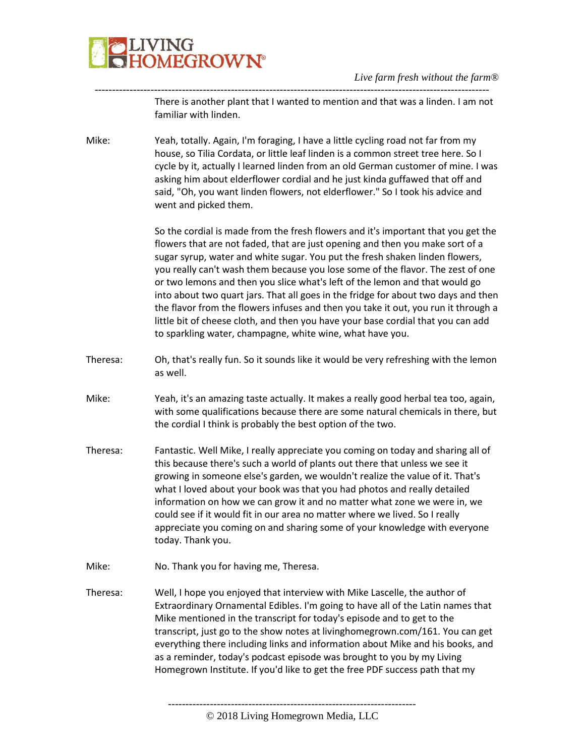

----------------------------------------------------------------------------------------------------------------- There is another plant that I wanted to mention and that was a linden. I am not familiar with linden.

Mike: Yeah, totally. Again, I'm foraging, I have a little cycling road not far from my house, so Tilia Cordata, or little leaf linden is a common street tree here. So I cycle by it, actually I learned linden from an old German customer of mine. I was asking him about elderflower cordial and he just kinda guffawed that off and said, "Oh, you want linden flowers, not elderflower." So I took his advice and went and picked them.

> So the cordial is made from the fresh flowers and it's important that you get the flowers that are not faded, that are just opening and then you make sort of a sugar syrup, water and white sugar. You put the fresh shaken linden flowers, you really can't wash them because you lose some of the flavor. The zest of one or two lemons and then you slice what's left of the lemon and that would go into about two quart jars. That all goes in the fridge for about two days and then the flavor from the flowers infuses and then you take it out, you run it through a little bit of cheese cloth, and then you have your base cordial that you can add to sparkling water, champagne, white wine, what have you.

- Theresa: Oh, that's really fun. So it sounds like it would be very refreshing with the lemon as well.
- Mike: Yeah, it's an amazing taste actually. It makes a really good herbal tea too, again, with some qualifications because there are some natural chemicals in there, but the cordial I think is probably the best option of the two.
- Theresa: Fantastic. Well Mike, I really appreciate you coming on today and sharing all of this because there's such a world of plants out there that unless we see it growing in someone else's garden, we wouldn't realize the value of it. That's what I loved about your book was that you had photos and really detailed information on how we can grow it and no matter what zone we were in, we could see if it would fit in our area no matter where we lived. So I really appreciate you coming on and sharing some of your knowledge with everyone today. Thank you.
- Mike: No. Thank you for having me, Theresa.
- Theresa: Well, I hope you enjoyed that interview with Mike Lascelle, the author of Extraordinary Ornamental Edibles. I'm going to have all of the Latin names that Mike mentioned in the transcript for today's episode and to get to the transcript, just go to the show notes at livinghomegrown.com/161. You can get everything there including links and information about Mike and his books, and as a reminder, today's podcast episode was brought to you by my Living Homegrown Institute. If you'd like to get the free PDF success path that my